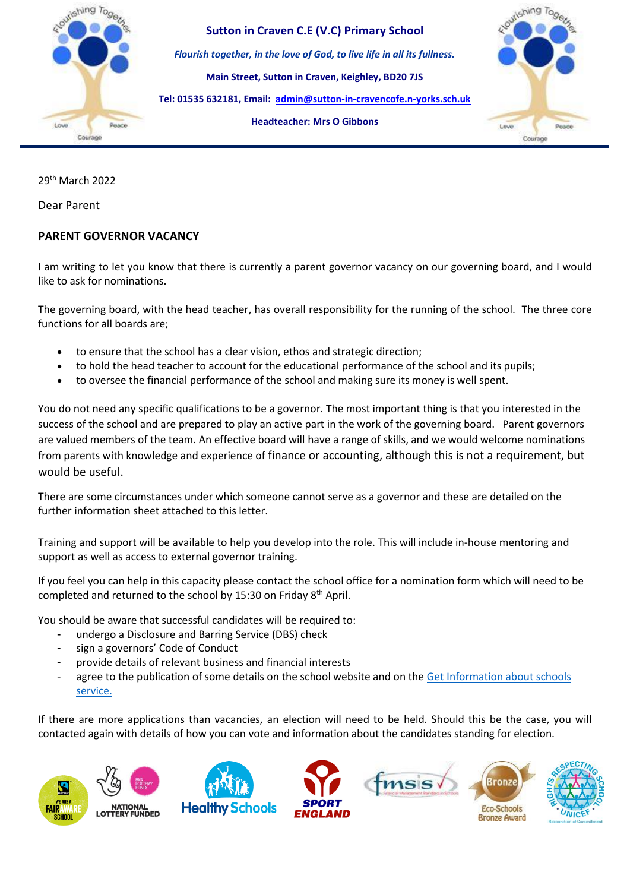

29th March 2022

Dear Parent

## **PARENT GOVERNOR VACANCY**

I am writing to let you know that there is currently a parent governor vacancy on our governing board, and I would like to ask for nominations.

The governing board, with the head teacher, has overall responsibility for the running of the school. The three core functions for all boards are;

- to ensure that the school has a clear vision, ethos and strategic direction;
- to hold the head teacher to account for the educational performance of the school and its pupils;
- to oversee the financial performance of the school and making sure its money is well spent.

You do not need any specific qualifications to be a governor. The most important thing is that you interested in the success of the school and are prepared to play an active part in the work of the governing board. Parent governors are valued members of the team. An effective board will have a range of skills, and we would welcome nominations from parents with knowledge and experience of finance or accounting, although this is not a requirement, but would be useful.

There are some circumstances under which someone cannot serve as a governor and these are detailed on the further information sheet attached to this letter.

Training and support will be available to help you develop into the role. This will include in-house mentoring and support as well as access to external governor training.

If you feel you can help in this capacity please contact the school office for a nomination form which will need to be completed and returned to the school by 15:30 on Friday 8<sup>th</sup> April.

You should be aware that successful candidates will be required to:

- undergo a Disclosure and Barring Service (DBS) check
- sign a governors' Code of Conduct
- provide details of relevant business and financial interests
- agree to the publication of some details on the school website and on the Get Information about schools [service.](https://get-information-schools.service.gov.uk/)

If there are more applications than vacancies, an election will need to be held. Should this be the case, you will contacted again with details of how you can vote and information about the candidates standing for election.

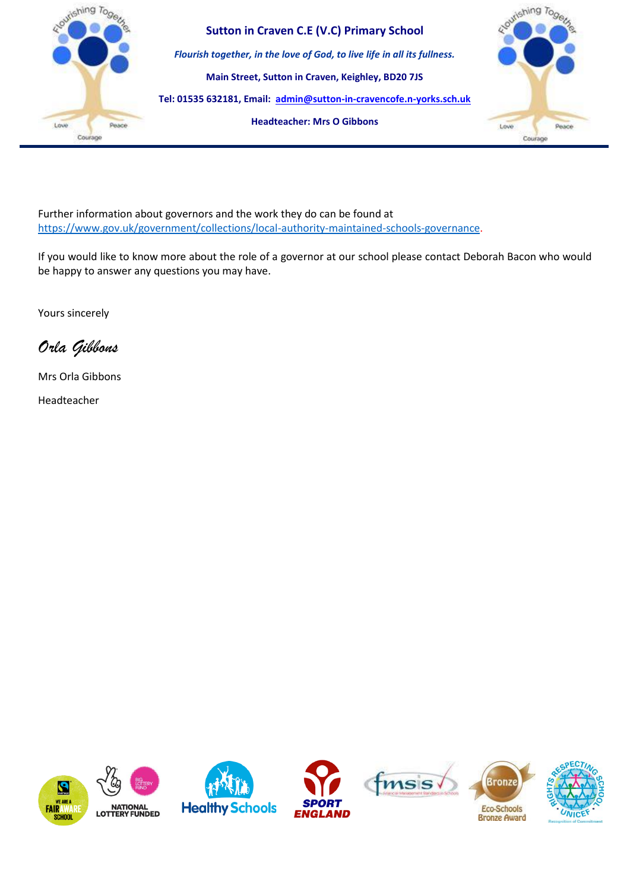

Further information about governors and the work they do can be found at [https://www.gov.uk/government/collections/local-authority-maintained-schools-governance.](https://www.gov.uk/government/collections/local-authority-maintained-schools-governance)

If you would like to know more about the role of a governor at our school please contact Deborah Bacon who would be happy to answer any questions you may have.

Yours sincerely

*Orla Gibbons* 

Mrs Orla Gibbons

Headteacher